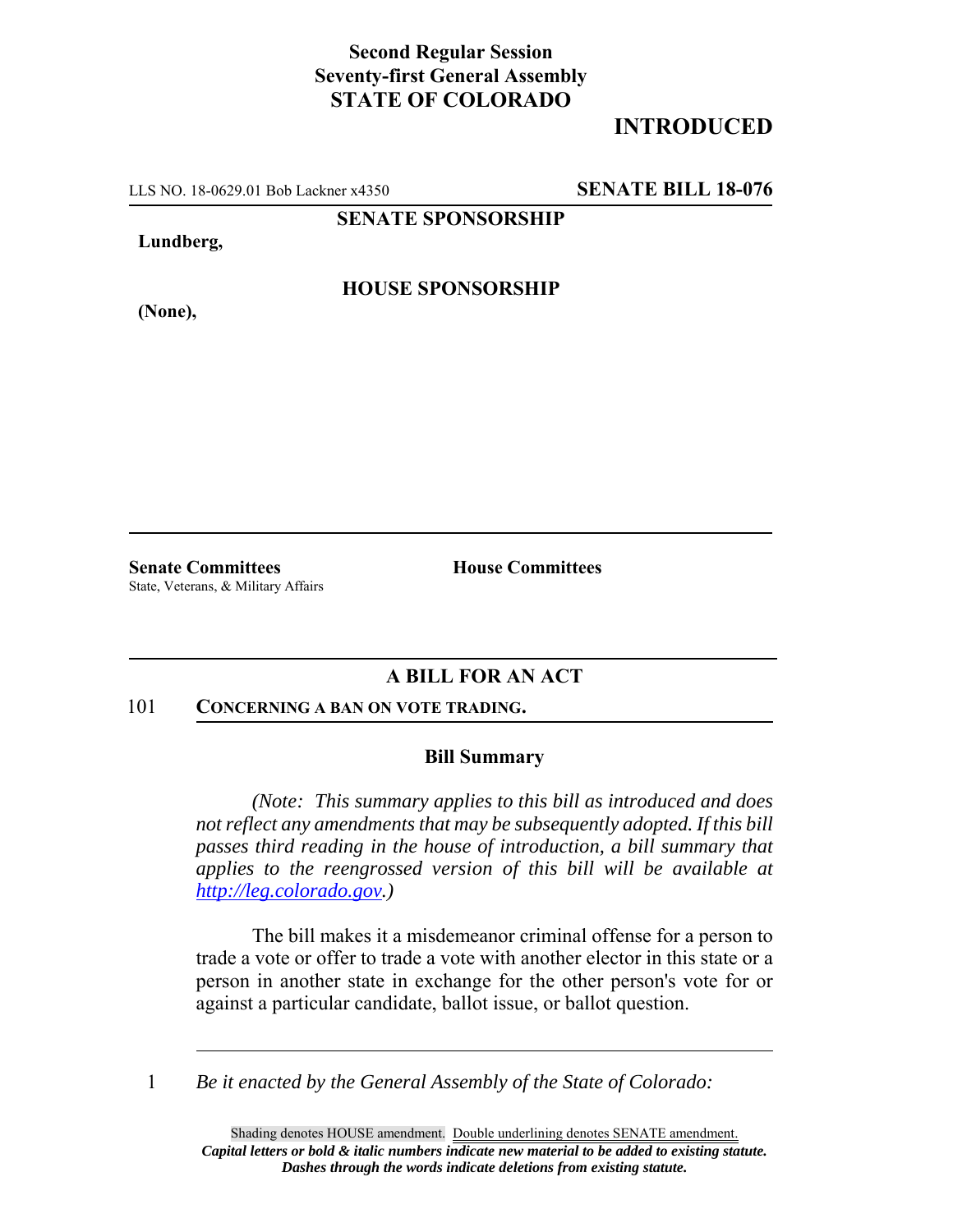## **Second Regular Session Seventy-first General Assembly STATE OF COLORADO**

# **INTRODUCED**

LLS NO. 18-0629.01 Bob Lackner x4350 **SENATE BILL 18-076**

**SENATE SPONSORSHIP**

**Lundberg,**

**(None),**

**HOUSE SPONSORSHIP**

**Senate Committees House Committees** State, Veterans, & Military Affairs

## **A BILL FOR AN ACT**

### 101 **CONCERNING A BAN ON VOTE TRADING.**

#### **Bill Summary**

*(Note: This summary applies to this bill as introduced and does not reflect any amendments that may be subsequently adopted. If this bill passes third reading in the house of introduction, a bill summary that applies to the reengrossed version of this bill will be available at http://leg.colorado.gov.)*

The bill makes it a misdemeanor criminal offense for a person to trade a vote or offer to trade a vote with another elector in this state or a person in another state in exchange for the other person's vote for or against a particular candidate, ballot issue, or ballot question.

1 *Be it enacted by the General Assembly of the State of Colorado:*